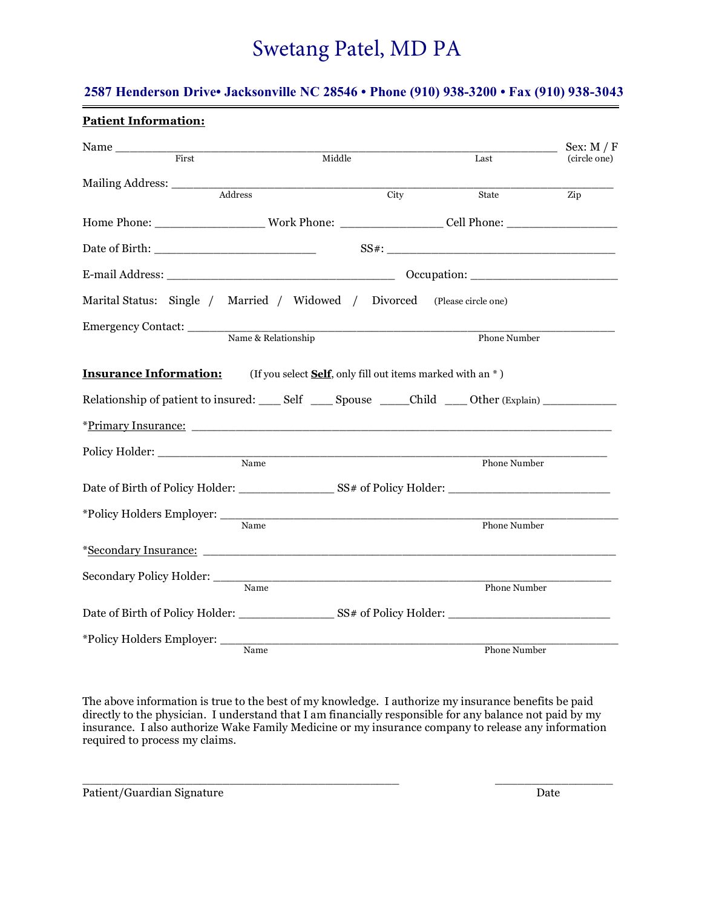### **2587 Henderson Drive• Jacksonville NC 28546 • Phone (910) 938-3200 • Fax (910) 938-3043**

| <b>Patient Information:</b>                                                                                                                                                                                                    |                                                            |                            |              |                              |
|--------------------------------------------------------------------------------------------------------------------------------------------------------------------------------------------------------------------------------|------------------------------------------------------------|----------------------------|--------------|------------------------------|
| First                                                                                                                                                                                                                          | Middle                                                     |                            | Last         | Sex: $M / F$<br>(circle one) |
| Mailing Address:                                                                                                                                                                                                               |                                                            |                            |              |                              |
| $\overline{\overline{\rm Address}}$                                                                                                                                                                                            |                                                            | $\overline{\mathrm{City}}$ | State        | Zip                          |
|                                                                                                                                                                                                                                |                                                            |                            |              |                              |
|                                                                                                                                                                                                                                |                                                            |                            |              |                              |
|                                                                                                                                                                                                                                |                                                            |                            |              |                              |
| Marital Status: Single / Married / Widowed / Divorced (Please circle one)                                                                                                                                                      |                                                            |                            |              |                              |
|                                                                                                                                                                                                                                |                                                            |                            |              |                              |
|                                                                                                                                                                                                                                | Name & Relationship                                        |                            | Phone Number |                              |
| <b>Insurance Information:</b>                                                                                                                                                                                                  | (If you select Self, only fill out items marked with an *) |                            |              |                              |
| Relationship of patient to insured: Self _______ Spouse _______Child ______ Other (Explain) ________                                                                                                                           |                                                            |                            |              |                              |
|                                                                                                                                                                                                                                |                                                            |                            |              |                              |
|                                                                                                                                                                                                                                |                                                            |                            |              |                              |
|                                                                                                                                                                                                                                | Name                                                       |                            | Phone Number |                              |
|                                                                                                                                                                                                                                |                                                            |                            |              |                              |
|                                                                                                                                                                                                                                |                                                            |                            |              |                              |
|                                                                                                                                                                                                                                | $\overline{\mathbf{Name}}$                                 |                            | Phone Number |                              |
| *Secondary Insurance: The Contract of the Contract of the Contract of the Contract of the Contract of the Contract of the Contract of the Contract of the Contract of the Contract of the Contract of the Contract of the Cont |                                                            |                            |              |                              |
| Secondary Policy Holder: Name                                                                                                                                                                                                  |                                                            |                            | Phone Number |                              |
|                                                                                                                                                                                                                                |                                                            |                            |              |                              |
|                                                                                                                                                                                                                                |                                                            |                            |              |                              |
| *Policy Holders Employer: _______                                                                                                                                                                                              |                                                            |                            |              |                              |
|                                                                                                                                                                                                                                | Name                                                       |                            | Phone Number |                              |

The above information is true to the best of my knowledge. I authorize my insurance benefits be paid directly to the physician. I understand that I am financially responsible for any balance not paid by my insurance. I also authorize Wake Family Medicine or my insurance company to release any information required to process my claims.

 $\overline{\phantom{a}}$  ,  $\overline{\phantom{a}}$  ,  $\overline{\phantom{a}}$  ,  $\overline{\phantom{a}}$  ,  $\overline{\phantom{a}}$  ,  $\overline{\phantom{a}}$  ,  $\overline{\phantom{a}}$  ,  $\overline{\phantom{a}}$  ,  $\overline{\phantom{a}}$  ,  $\overline{\phantom{a}}$  ,  $\overline{\phantom{a}}$  ,  $\overline{\phantom{a}}$  ,  $\overline{\phantom{a}}$  ,  $\overline{\phantom{a}}$  ,  $\overline{\phantom{a}}$  ,  $\overline{\phantom{a}}$ 

Patient/Guardian Signature Date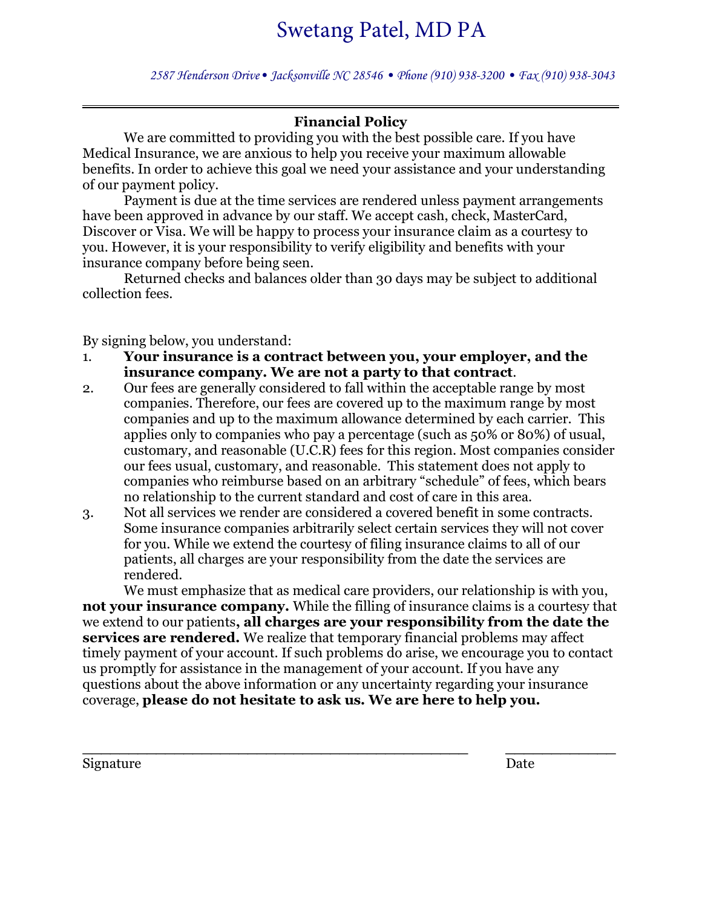*2587 Henderson Drive• Jacksonville NC 28546 • Phone (910) 938-3200 • Fax (910) 938-3043* 

### **Financial Policy**

We are committed to providing you with the best possible care. If you have Medical Insurance, we are anxious to help you receive your maximum allowable benefits. In order to achieve this goal we need your assistance and your understanding of our payment policy.

Payment is due at the time services are rendered unless payment arrangements have been approved in advance by our staff. We accept cash, check, MasterCard, Discover or Visa. We will be happy to process your insurance claim as a courtesy to you. However, it is your responsibility to verify eligibility and benefits with your insurance company before being seen.

Returned checks and balances older than 30 days may be subject to additional collection fees.

By signing below, you understand:

- 1. **Your insurance is a contract between you, your employer, and the insurance company. We are not a party to that contract**.
- 2. Our fees are generally considered to fall within the acceptable range by most companies. Therefore, our fees are covered up to the maximum range by most companies and up to the maximum allowance determined by each carrier. This applies only to companies who pay a percentage (such as 50% or 80%) of usual, customary, and reasonable (U.C.R) fees for this region. Most companies consider our fees usual, customary, and reasonable. This statement does not apply to companies who reimburse based on an arbitrary "schedule" of fees, which bears no relationship to the current standard and cost of care in this area.
- 3. Not all services we render are considered a covered benefit in some contracts. Some insurance companies arbitrarily select certain services they will not cover for you. While we extend the courtesy of filing insurance claims to all of our patients, all charges are your responsibility from the date the services are rendered.

We must emphasize that as medical care providers, our relationship is with you, **not your insurance company.** While the filling of insurance claims is a courtesy that we extend to our patients**, all charges are your responsibility from the date the services are rendered.** We realize that temporary financial problems may affect timely payment of your account. If such problems do arise, we encourage you to contact us promptly for assistance in the management of your account. If you have any questions about the above information or any uncertainty regarding your insurance coverage, **please do not hesitate to ask us. We are here to help you.**

**\_\_\_\_\_\_\_\_\_\_\_\_\_\_\_\_\_\_\_\_\_\_\_\_\_\_\_\_\_\_\_\_\_\_\_\_\_\_\_\_\_\_ \_\_\_\_\_\_\_\_\_\_\_\_**

Signature Date Date Date Date Date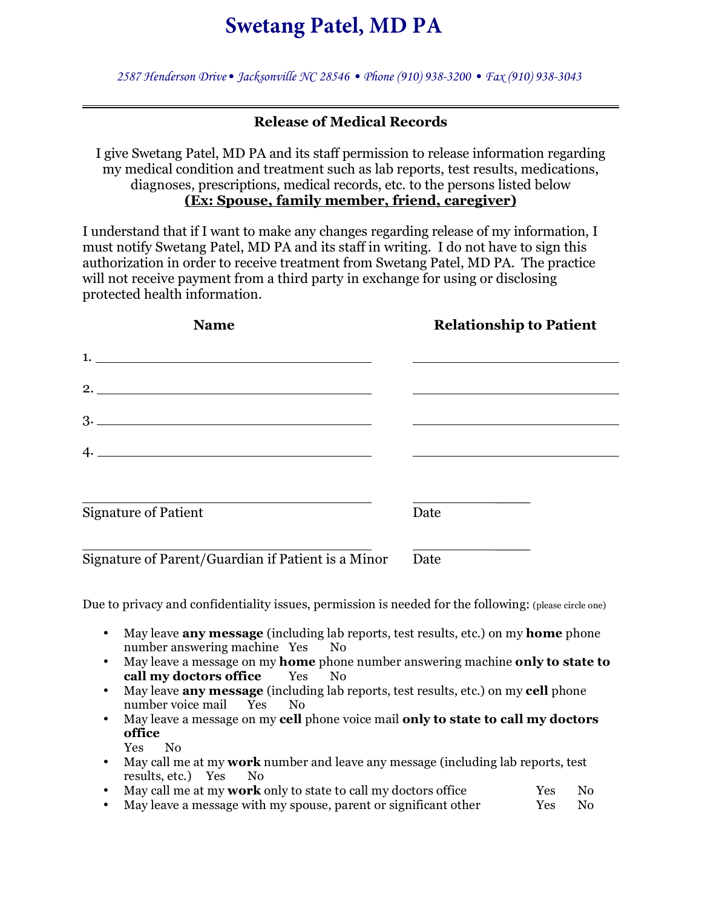*2587 Henderson Drive• Jacksonville NC 28546 • Phone (910) 938-3200 • Fax (910) 938-3043* 

### **Release of Medical Records**

I give Swetang Patel, MD PA and its staff permission to release information regarding my medical condition and treatment such as lab reports, test results, medications, diagnoses, prescriptions, medical records, etc. to the persons listed below **(Ex: Spouse, family member, friend, caregiver)**

I understand that if I want to make any changes regarding release of my information, I must notify Swetang Patel, MD PA and its staff in writing. I do not have to sign this authorization in order to receive treatment from Swetang Patel, MD PA. The practice will not receive payment from a third party in exchange for using or disclosing protected health information.

| <b>Name</b>                                        | <b>Relationship to Patient</b> |
|----------------------------------------------------|--------------------------------|
| 1.                                                 |                                |
|                                                    |                                |
|                                                    |                                |
|                                                    |                                |
|                                                    |                                |
| <b>Signature of Patient</b>                        | Date                           |
| Signature of Parent/Guardian if Patient is a Minor | Date                           |

Due to privacy and confidentiality issues, permission is needed for the following: (please circle one)

- May leave **any message** (including lab reports, test results, etc.) on my **home** phone number answering machine Yes No
- May leave a message on my **home** phone number answering machine **only to state to call my doctors office** Yes No
- May leave **any message** (including lab reports, test results, etc.) on my **cell** phone number voice mail Yes No
- May leave a message on my **cell** phone voice mail **only to state to call my doctors office** Yes No
- May call me at my **work** number and leave any message (including lab reports, test results, etc.) Yes No
- May call me at my **work** only to state to call my doctors office Yes No
- May leave a message with my spouse, parent or significant other Yes No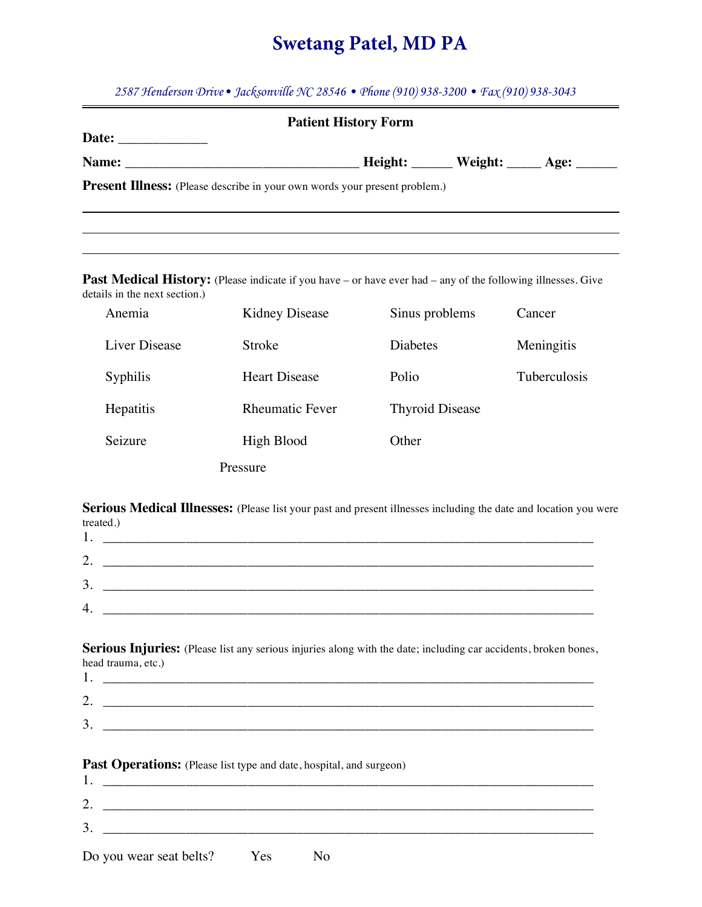*2587 Henderson Drive• Jacksonville NC 28546 • Phone (910) 938-3200 • Fax (910) 938-3043*

|                               |                                                                                                                     | <b>Patient History Form</b> |              |
|-------------------------------|---------------------------------------------------------------------------------------------------------------------|-----------------------------|--------------|
|                               |                                                                                                                     |                             |              |
|                               |                                                                                                                     |                             |              |
|                               | <b>Present Illness:</b> (Please describe in your own words your present problem.)                                   |                             |              |
| details in the next section.) | <b>Past Medical History:</b> (Please indicate if you have – or have ever had – any of the following illnesses. Give |                             |              |
| Anemia                        | Kidney Disease                                                                                                      | Sinus problems              | Cancer       |
| <b>Liver Disease</b>          | Stroke                                                                                                              | <b>Diabetes</b>             | Meningitis   |
| <b>Syphilis</b>               | <b>Heart Disease</b>                                                                                                | Polio                       | Tuberculosis |
| Hepatitis                     | <b>Rheumatic Fever</b>                                                                                              | <b>Thyroid Disease</b>      |              |
| Seizure                       | High Blood                                                                                                          | Other                       |              |
|                               | Pressure                                                                                                            |                             |              |
| treated.)                     | Serious Medical Illnesses: (Please list your past and present illnesses including the date and location you were    |                             |              |

| 1.              | <u> 1986 - Jan Alexandro III, prima postala prima prima prima prima prima prima prima prima prima prima prima pri</u> |  |  |
|-----------------|-----------------------------------------------------------------------------------------------------------------------|--|--|
| ∍<br><u>، ،</u> |                                                                                                                       |  |  |
| 3.              |                                                                                                                       |  |  |
| 4.              |                                                                                                                       |  |  |
|                 |                                                                                                                       |  |  |

Serious Injuries: (Please list any serious injuries along with the date; including car accidents, broken bones, head trauma, etc.)

| <b>.</b>     |  |
|--------------|--|
| $\sim$<br>٠. |  |
| ⌒<br>◡       |  |

Past Operations: (Please list type and date, hospital, and surgeon)

| ◠                       |     |  |  |
|-------------------------|-----|--|--|
| 3.                      |     |  |  |
| Do you wear seat belts? | Yes |  |  |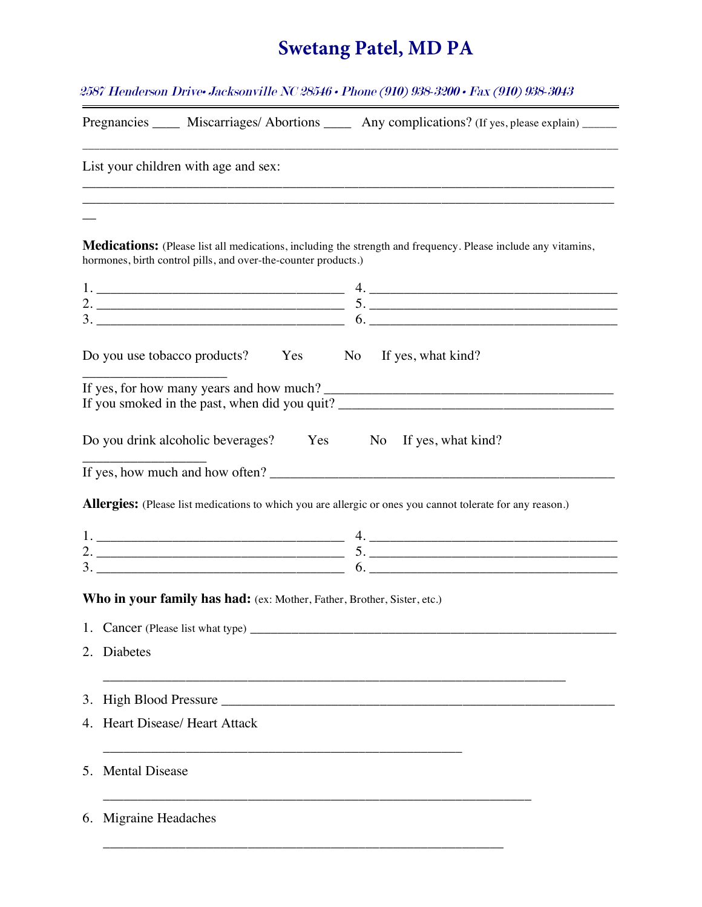2587 Henderson Drive• Jacksonville NC 28546 • Phone (910) 938-3200 • Fax (910) 938-3043

|    | Pregnancies ______ Miscarriages/ Abortions _______ Any complications? (If yes, please explain) _____                                                                                   |
|----|----------------------------------------------------------------------------------------------------------------------------------------------------------------------------------------|
|    | List your children with age and sex:                                                                                                                                                   |
|    |                                                                                                                                                                                        |
|    |                                                                                                                                                                                        |
|    | <b>Medications:</b> (Please list all medications, including the strength and frequency. Please include any vitamins,<br>hormones, birth control pills, and over-the-counter products.) |
|    |                                                                                                                                                                                        |
|    |                                                                                                                                                                                        |
|    |                                                                                                                                                                                        |
|    | Do you use tobacco products? Yes No If yes, what kind?                                                                                                                                 |
|    |                                                                                                                                                                                        |
|    | Do you drink alcoholic beverages? Yes No If yes, what kind?                                                                                                                            |
|    |                                                                                                                                                                                        |
|    |                                                                                                                                                                                        |
|    | Allergies: (Please list medications to which you are allergic or ones you cannot tolerate for any reason.)                                                                             |
|    |                                                                                                                                                                                        |
|    |                                                                                                                                                                                        |
|    |                                                                                                                                                                                        |
|    | Who in your family has had: (ex: Mother, Father, Brother, Sister, etc.)                                                                                                                |
|    |                                                                                                                                                                                        |
|    | 2. Diabetes                                                                                                                                                                            |
| 3. |                                                                                                                                                                                        |
|    | 4. Heart Disease/ Heart Attack                                                                                                                                                         |
| 5. | <b>Mental Disease</b>                                                                                                                                                                  |
|    | 6. Migraine Headaches                                                                                                                                                                  |